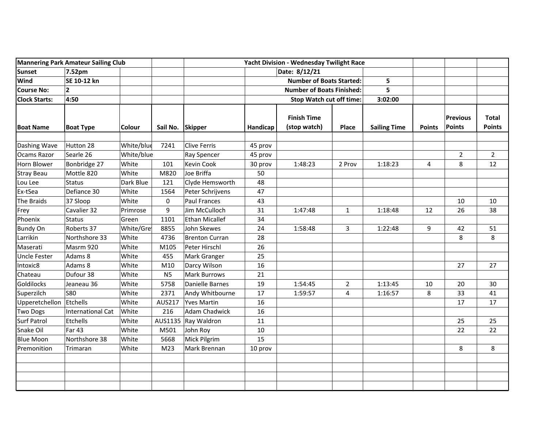| <b>Mannering Park Amateur Sailing Club</b> |                   |               |                  | Yacht Division - Wednesday Twilight Race |                                                                     |                                    |                |                     |               |                           |                               |
|--------------------------------------------|-------------------|---------------|------------------|------------------------------------------|---------------------------------------------------------------------|------------------------------------|----------------|---------------------|---------------|---------------------------|-------------------------------|
| <b>Sunset</b>                              | 7.52pm            |               |                  |                                          |                                                                     | Date: 8/12/21                      |                |                     |               |                           |                               |
| <b>Wind</b>                                | SE 10-12 kn       |               |                  |                                          | <b>Number of Boats Started:</b><br><b>Number of Boats Finished:</b> |                                    |                | 5                   |               |                           |                               |
| <b>Course No:</b>                          | $\overline{2}$    |               |                  |                                          |                                                                     |                                    |                | 5                   |               |                           |                               |
| <b>Clock Starts:</b>                       | 4:50              |               |                  |                                          | <b>Stop Watch cut off time:</b>                                     |                                    |                | 3:02:00             |               |                           |                               |
| <b>Boat Name</b>                           | <b>Boat Type</b>  | <b>Colour</b> | Sail No. Skipper |                                          | Handicap                                                            | <b>Finish Time</b><br>(stop watch) | Place          | <b>Sailing Time</b> | <b>Points</b> | <b>Previous</b><br>Points | <b>Total</b><br><b>Points</b> |
| Dashing Wave                               | Hutton 28         | White/blue    | 7241             | Clive Ferris                             | 45 prov                                                             |                                    |                |                     |               |                           |                               |
| Ocams Razor                                | Searle 26         | White/blue    |                  | Ray Spencer                              | 45 prov                                                             |                                    |                |                     |               | $\overline{2}$            | $\overline{2}$                |
| Horn Blower                                | Bonbridge 27      | White         | 101              | Kevin Cook                               | 30 prov                                                             | 1:48:23                            | 2 Prov         | 1:18:23             | 4             | 8                         | 12                            |
| <b>Stray Beau</b>                          | Mottle 820        | White         | M820             | Joe Briffa                               | 50                                                                  |                                    |                |                     |               |                           |                               |
| Lou Lee                                    | <b>Status</b>     | Dark Blue     | 121              | Clyde Hemsworth                          | 48                                                                  |                                    |                |                     |               |                           |                               |
| Ex-tSea                                    | Defiance 30       | White         | 1564             | Peter Schrijvens                         | 47                                                                  |                                    |                |                     |               |                           |                               |
| The Braids                                 | 37 Sloop          | White         | 0                | <b>Paul Frances</b>                      | 43                                                                  |                                    |                |                     |               | 10                        | 10                            |
| Frey                                       | Cavalier 32       | Primrose      | 9                | Jim McCulloch                            | 31                                                                  | 1:47:48                            | $\mathbf{1}$   | 1:18:48             | 12            | 26                        | 38                            |
| Phoenix                                    | <b>Status</b>     | Green         | 1101             | <b>Ethan Micallef</b>                    | 34                                                                  |                                    |                |                     |               |                           |                               |
| <b>Bundy On</b>                            | Roberts 37        | White/Gre     | 8855             | John Skewes                              | 24                                                                  | 1:58:48                            | 3              | 1:22:48             | 9             | 42                        | 51                            |
| Larrikin                                   | Northshore 33     | White         | 4736             | <b>Brenton Curran</b>                    | 28                                                                  |                                    |                |                     |               | 8                         | 8                             |
| Maserati                                   | Masrm 920         | White         | M105             | Peter Hirschl                            | 26                                                                  |                                    |                |                     |               |                           |                               |
| <b>Uncle Fester</b>                        | Adams 8           | White         | 455              | Mark Granger                             | 25                                                                  |                                    |                |                     |               |                           |                               |
| Intoxic8                                   | Adams 8           | White         | M10              | Darcy Wilson                             | 16                                                                  |                                    |                |                     |               | 27                        | 27                            |
| Chateau                                    | Dufour 38         | White         | N <sub>5</sub>   | Mark Burrows                             | 21                                                                  |                                    |                |                     |               |                           |                               |
| Goldilocks                                 | Jeaneau 36        | White         | 5758             | Danielle Barnes                          | 19                                                                  | 1:54:45                            | $\overline{2}$ | 1:13:45             | 10            | 20                        | 30                            |
| Superzilch                                 | <b>S80</b>        | White         | 2371             | Andy Whitbourne                          | 17                                                                  | 1:59:57                            | 4              | 1:16:57             | 8             | 33                        | 41                            |
| Upperetchellon                             | Etchells          | White         | AUS217           | <b>Yves Martin</b>                       | 16                                                                  |                                    |                |                     |               | 17                        | 17                            |
| <b>Two Dogs</b>                            | International Cat | White         | 216              | Adam Chadwick                            | 16                                                                  |                                    |                |                     |               |                           |                               |
| <b>Surf Patrol</b>                         | Etchells          | White         | AUS1135          | Ray Waldron                              | 11                                                                  |                                    |                |                     |               | 25                        | 25                            |
| Snake Oil                                  | <b>Far 43</b>     | White         | M501             | John Roy                                 | 10                                                                  |                                    |                |                     |               | 22                        | 22                            |
| <b>Blue Moon</b>                           | Northshore 38     | White         | 5668             | Mick Pilgrim                             | 15                                                                  |                                    |                |                     |               |                           |                               |
| Premonition                                | Trimaran          | White         | M <sub>23</sub>  | Mark Brennan                             | 10 prov                                                             |                                    |                |                     |               | 8                         | 8                             |
|                                            |                   |               |                  |                                          |                                                                     |                                    |                |                     |               |                           |                               |
|                                            |                   |               |                  |                                          |                                                                     |                                    |                |                     |               |                           |                               |
|                                            |                   |               |                  |                                          |                                                                     |                                    |                |                     |               |                           |                               |
|                                            |                   |               |                  |                                          |                                                                     |                                    |                |                     |               |                           |                               |